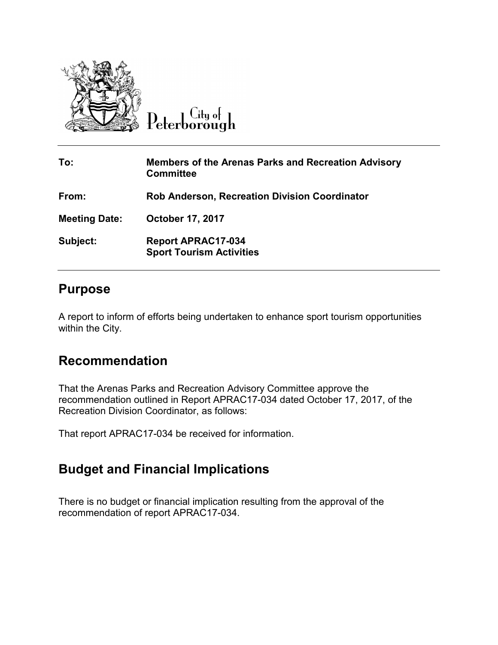

Peterborough

| To:                  | <b>Members of the Arenas Parks and Recreation Advisory</b><br><b>Committee</b> |
|----------------------|--------------------------------------------------------------------------------|
| From:                | <b>Rob Anderson, Recreation Division Coordinator</b>                           |
| <b>Meeting Date:</b> | <b>October 17, 2017</b>                                                        |
| Subject:             | <b>Report APRAC17-034</b><br><b>Sport Tourism Activities</b>                   |

## **Purpose**

A report to inform of efforts being undertaken to enhance sport tourism opportunities within the City.

# **Recommendation**

That the Arenas Parks and Recreation Advisory Committee approve the recommendation outlined in Report APRAC17-034 dated October 17, 2017, of the Recreation Division Coordinator, as follows:

That report APRAC17-034 be received for information.

# **Budget and Financial Implications**

There is no budget or financial implication resulting from the approval of the recommendation of report APRAC17-034.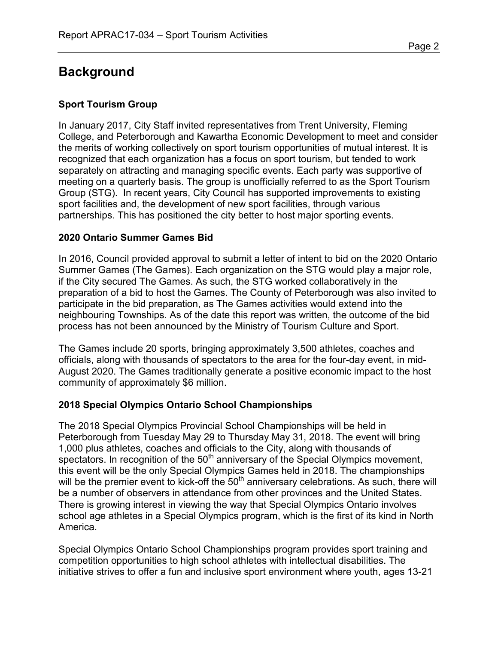# **Background**

## **Sport Tourism Group**

In January 2017, City Staff invited representatives from Trent University, Fleming College, and Peterborough and Kawartha Economic Development to meet and consider the merits of working collectively on sport tourism opportunities of mutual interest. It is recognized that each organization has a focus on sport tourism, but tended to work separately on attracting and managing specific events. Each party was supportive of meeting on a quarterly basis. The group is unofficially referred to as the Sport Tourism Group (STG). In recent years, City Council has supported improvements to existing sport facilities and, the development of new sport facilities, through various partnerships. This has positioned the city better to host major sporting events.

### **2020 Ontario Summer Games Bid**

In 2016, Council provided approval to submit a letter of intent to bid on the 2020 Ontario Summer Games (The Games). Each organization on the STG would play a major role, if the City secured The Games. As such, the STG worked collaboratively in the preparation of a bid to host the Games. The County of Peterborough was also invited to participate in the bid preparation, as The Games activities would extend into the neighbouring Townships. As of the date this report was written, the outcome of the bid process has not been announced by the Ministry of Tourism Culture and Sport.

The Games include 20 sports, bringing approximately 3,500 athletes, coaches and officials, along with thousands of spectators to the area for the four-day event, in mid-August 2020. The Games traditionally generate a positive economic impact to the host community of approximately \$6 million.

### **2018 Special Olympics Ontario School Championships**

The 2018 Special Olympics Provincial School Championships will be held in Peterborough from Tuesday May 29 to Thursday May 31, 2018. The event will bring 1,000 plus athletes, coaches and officials to the City, along with thousands of spectators. In recognition of the  $50<sup>th</sup>$  anniversary of the Special Olympics movement, this event will be the only Special Olympics Games held in 2018. The championships will be the premier event to kick-off the 50<sup>th</sup> anniversary celebrations. As such, there will be a number of observers in attendance from other provinces and the United States. There is growing interest in viewing the way that Special Olympics Ontario involves school age athletes in a Special Olympics program, which is the first of its kind in North America.

Special Olympics Ontario School Championships program provides sport training and competition opportunities to high school athletes with intellectual disabilities. The initiative strives to offer a fun and inclusive sport environment where youth, ages 13-21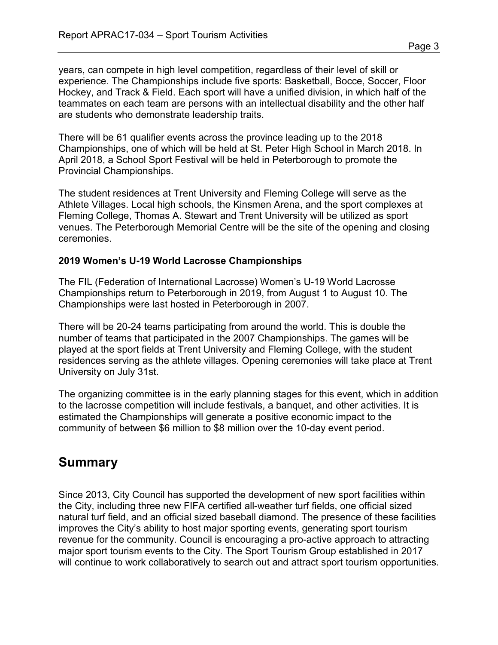years, can compete in high level competition, regardless of their level of skill or experience. The Championships include five sports: Basketball, Bocce, Soccer, Floor Hockey, and Track & Field. Each sport will have a unified division, in which half of the teammates on each team are persons with an intellectual disability and the other half are students who demonstrate leadership traits.

There will be 61 qualifier events across the province leading up to the 2018 Championships, one of which will be held at St. Peter High School in March 2018. In April 2018, a School Sport Festival will be held in Peterborough to promote the Provincial Championships.

The student residences at Trent University and Fleming College will serve as the Athlete Villages. Local high schools, the Kinsmen Arena, and the sport complexes at Fleming College, Thomas A. Stewart and Trent University will be utilized as sport venues. The Peterborough Memorial Centre will be the site of the opening and closing ceremonies.

### **2019 Women's U-19 World Lacrosse Championships**

The FIL (Federation of International Lacrosse) Women's U-19 World Lacrosse Championships return to Peterborough in 2019, from August 1 to August 10. The Championships were last hosted in Peterborough in 2007.

There will be 20-24 teams participating from around the world. This is double the number of teams that participated in the 2007 Championships. The games will be played at the sport fields at Trent University and Fleming College, with the student residences serving as the athlete villages. Opening ceremonies will take place at Trent University on July 31st.

The organizing committee is in the early planning stages for this event, which in addition to the lacrosse competition will include festivals, a banquet, and other activities. It is estimated the Championships will generate a positive economic impact to the community of between \$6 million to \$8 million over the 10-day event period.

## **Summary**

Since 2013, City Council has supported the development of new sport facilities within the City, including three new FIFA certified all-weather turf fields, one official sized natural turf field, and an official sized baseball diamond. The presence of these facilities improves the City's ability to host major sporting events, generating sport tourism revenue for the community. Council is encouraging a pro-active approach to attracting major sport tourism events to the City. The Sport Tourism Group established in 2017 will continue to work collaboratively to search out and attract sport tourism opportunities.